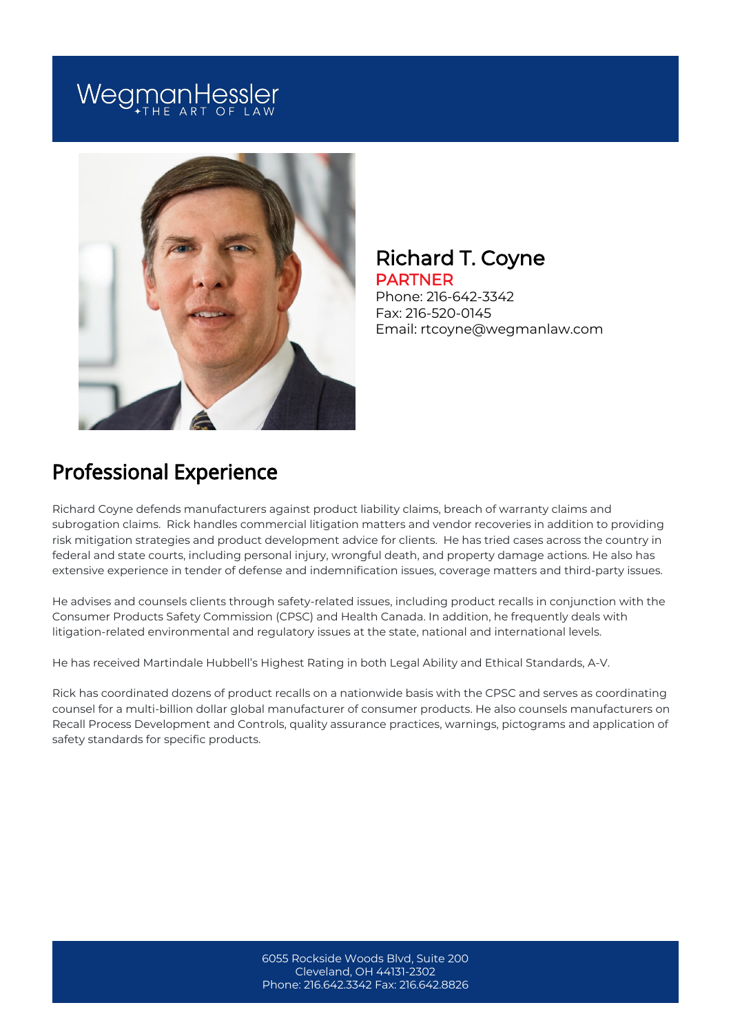# WegmanHessler



#### Richard T. Coyne PARTNER

Phone: 216-642-3342 Fax: 216-520-0145 Email: rtcoyne@wegmanlaw.com

# Professional Experience

Richard Coyne defends manufacturers against product liability claims, breach of warranty claims and subrogation claims. Rick handles commercial litigation matters and vendor recoveries in addition to providing risk mitigation strategies and product development advice for clients. He has tried cases across the country in federal and state courts, including personal injury, wrongful death, and property damage actions. He also has extensive experience in tender of defense and indemnification issues, coverage matters and third-party issues.

He advises and counsels clients through safety-related issues, including product recalls in conjunction with the Consumer Products Safety Commission (CPSC) and Health Canada. In addition, he frequently deals with litigation-related environmental and regulatory issues at the state, national and international levels.

He has received Martindale Hubbell's Highest Rating in both Legal Ability and Ethical Standards, A-V.

Rick has coordinated dozens of product recalls on a nationwide basis with the CPSC and serves as coordinating counsel for a multi-billion dollar global manufacturer of consumer products. He also counsels manufacturers on Recall Process Development and Controls, quality assurance practices, warnings, pictograms and application of safety standards for specific products.